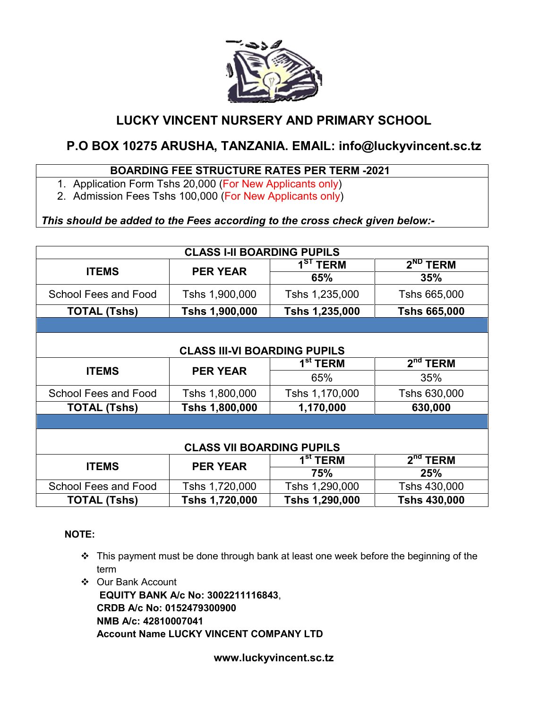

## LUCKY VINCENT NURSERY AND PRIMARY SCHOOL

# P.O BOX 10275 ARUSHA, TANZANIA. EMAIL: info@luckyvincent.sc.tz

## BOARDING FEE STRUCTURE RATES PER TERM -2021

- 1. Application Form Tshs 20,000 (For New Applicants only)
- 2. Admission Fees Tshs 100,000 (For New Applicants only)

## *This should be added to the Fees according to the cross check given below:-*

| <b>CLASS I-II BOARDING PUPILS</b>   |                 |                |                     |  |
|-------------------------------------|-----------------|----------------|---------------------|--|
| <b>ITEMS</b>                        | <b>PER YEAR</b> | $1ST$ TERM     | $2ND$ TERM          |  |
|                                     |                 | 65%            | 35%                 |  |
| School Fees and Food                | Tshs 1,900,000  | Tshs 1,235,000 | Tshs 665,000        |  |
| <b>TOTAL (Tshs)</b>                 | Tshs 1,900,000  | Tshs 1,235,000 | <b>Tshs 665,000</b> |  |
|                                     |                 |                |                     |  |
|                                     |                 |                |                     |  |
| <b>CLASS III-VI BOARDING PUPILS</b> |                 |                |                     |  |
| <b>ITEMS</b>                        | <b>PER YEAR</b> | $1st$ TERM     | $2nd$ TERM          |  |
|                                     |                 | 65%            | 35%                 |  |
| School Fees and Food                | Tshs 1,800,000  | Tshs 1,170,000 | Tshs 630,000        |  |
| <b>TOTAL (Tshs)</b>                 | Tshs 1,800,000  | 1,170,000      | 630,000             |  |
|                                     |                 |                |                     |  |
|                                     |                 |                |                     |  |
| <b>CLASS VII BOARDING PUPILS</b>    |                 |                |                     |  |
| <b>ITEMS</b>                        | <b>PER YEAR</b> | $1st$ TERM     | $2nd$ TERM          |  |
|                                     |                 | 75%            | 25%                 |  |
| <b>School Fees and Food</b>         | Tshs 1,720,000  | Tshs 1,290,000 | Tshs 430,000        |  |
| <b>TOTAL (Tshs)</b>                 | Tshs 1,720,000  | Tshs 1,290,000 | <b>Tshs 430,000</b> |  |

## NOTE:

- $\cdot \cdot$  This payment must be done through bank at least one week before the beginning of the term
- Our Bank Account

EQUITY BANK A/c No: 3002211116843, CRDB A/c No: 0152479300900 NMB A/c: 42810007041 Account Name LUCKY VINCENT COMPANY LTD

www.luckyvincent.sc.tz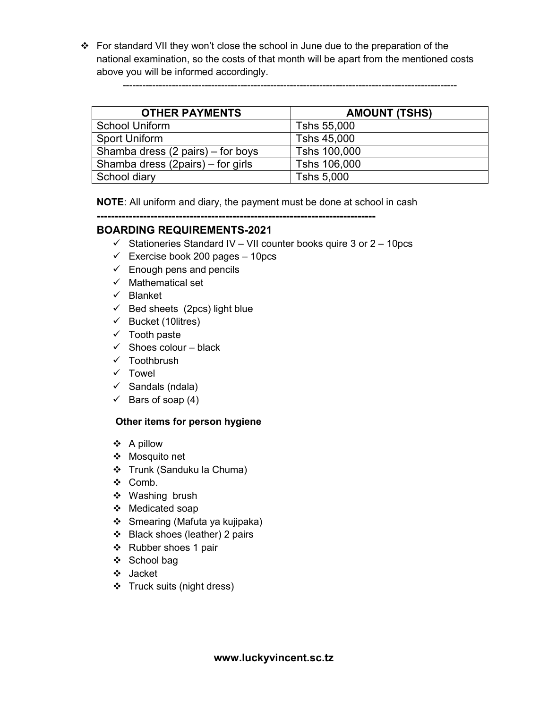For standard VII they won't close the school in June due to the preparation of the national examination, so the costs of that month will be apart from the mentioned costs above you will be informed accordingly.

| <b>OTHER PAYMENTS</b>             | <b>AMOUNT (TSHS)</b> |
|-----------------------------------|----------------------|
| <b>School Uniform</b>             | Tshs 55,000          |
| <b>Sport Uniform</b>              | Tshs 45,000          |
| Shamba dress (2 pairs) – for boys | Tshs 100,000         |
| Shamba dress (2pairs) – for girls | Tshs 106,000         |
| School diary                      | Tshs 5,000           |

------------------------------------------------------------------------------------------------------

NOTE: All uniform and diary, the payment must be done at school in cash

------------------------------------------------------------------------------

## BOARDING REQUIREMENTS-2021

- $\checkmark$  Stationeries Standard IV VII counter books quire 3 or 2 10pcs
- $\checkmark$  Exercise book 200 pages 10pcs
- $\checkmark$  Enough pens and pencils
- $\checkmark$  Mathematical set
- $\checkmark$  Blanket
- $\checkmark$  Bed sheets (2pcs) light blue
- $\checkmark$  Bucket (10 litres)
- $\checkmark$  Tooth paste
- $\checkmark$  Shoes colour black
- $\checkmark$  Toothbrush
- $\times$  Towel
- $\checkmark$  Sandals (ndala)
- $\checkmark$  Bars of soap (4)

## Other items for person hygiene

- A pillow
- Mosquito net
- Trunk (Sanduku la Chuma)
- Comb.
- Washing brush
- Medicated soap
- Smearing (Mafuta ya kujipaka)
- Black shoes (leather) 2 pairs
- ❖ Rubber shoes 1 pair
- ❖ School bag
- Jacket
- Truck suits (night dress)